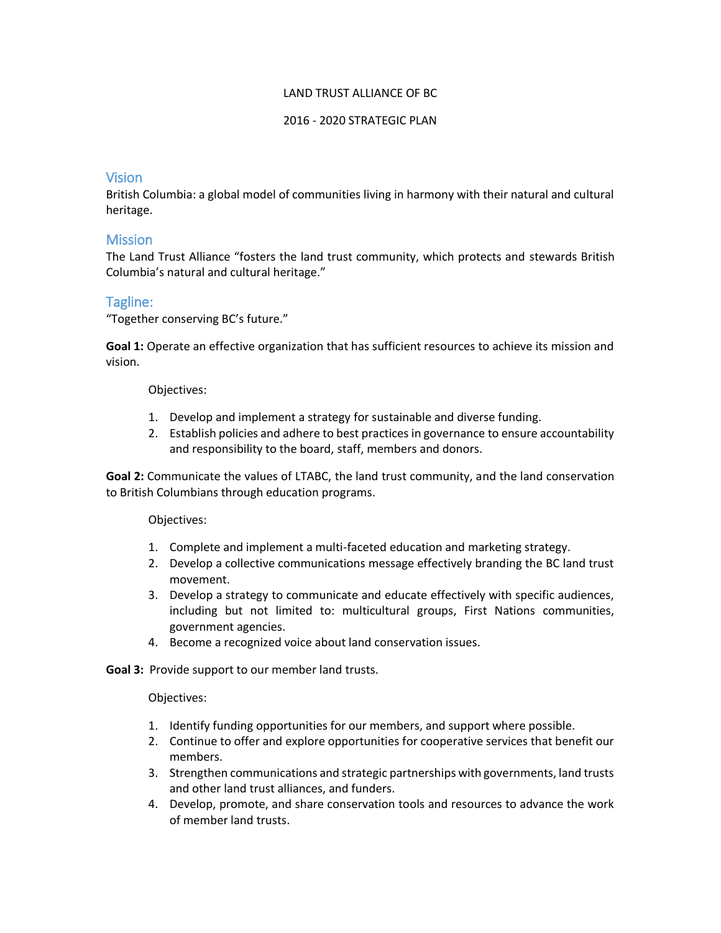### LAND TRUST ALLIANCE OF BC

## 2016 - 2020 STRATEGIC PLAN

# Vision

British Columbia: a global model of communities living in harmony with their natural and cultural heritage.

# **Mission**

The Land Trust Alliance "fosters the land trust community, which protects and stewards British Columbia's natural and cultural heritage."

# Tagline:

"Together conserving BC's future."

**Goal 1:** Operate an effective organization that has sufficient resources to achieve its mission and vision.

## Objectives:

- 1. Develop and implement a strategy for sustainable and diverse funding.
- 2. Establish policies and adhere to best practices in governance to ensure accountability and responsibility to the board, staff, members and donors.

**Goal 2:** Communicate the values of LTABC, the land trust community, and the land conservation to British Columbians through education programs.

### Objectives:

- 1. Complete and implement a multi-faceted education and marketing strategy.
- 2. Develop a collective communications message effectively branding the BC land trust movement.
- 3. Develop a strategy to communicate and educate effectively with specific audiences, including but not limited to: multicultural groups, First Nations communities, government agencies.
- 4. Become a recognized voice about land conservation issues.

**Goal 3:** Provide support to our member land trusts.

### Objectives:

- 1. Identify funding opportunities for our members, and support where possible.
- 2. Continue to offer and explore opportunities for cooperative services that benefit our members.
- 3. Strengthen communications and strategic partnerships with governments, land trusts and other land trust alliances, and funders.
- 4. Develop, promote, and share conservation tools and resources to advance the work of member land trusts.